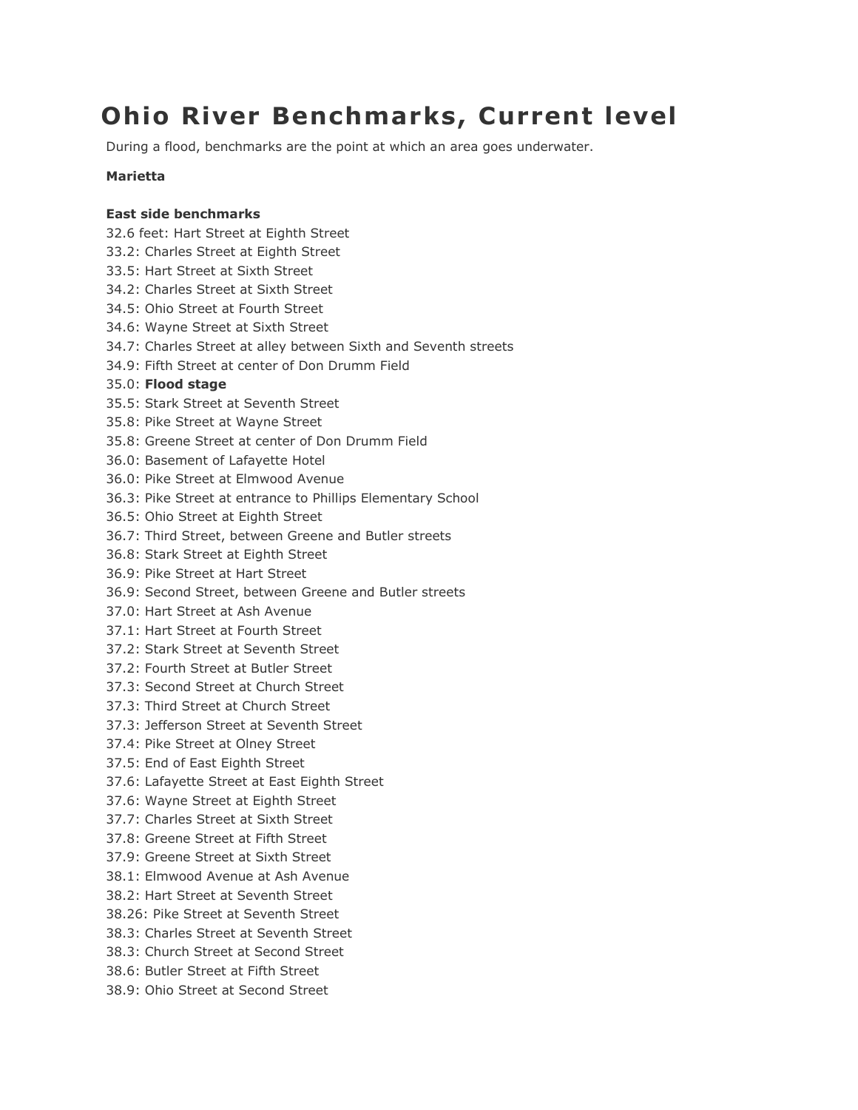# **Ohio River Benchmarks, Current level**

During a flood, benchmarks are the point at which an area goes underwater.

## **Marietta**

### **East side benchmarks**

- 32.6 feet: Hart Street at Eighth Street
- 33.2: Charles Street at Eighth Street
- 33.5: Hart Street at Sixth Street
- 34.2: Charles Street at Sixth Street
- 34.5: Ohio Street at Fourth Street
- 34.6: Wayne Street at Sixth Street
- 34.7: Charles Street at alley between Sixth and Seventh streets
- 34.9: Fifth Street at center of Don Drumm Field
- 35.0: **Flood stage**
- 35.5: Stark Street at Seventh Street
- 35.8: Pike Street at Wayne Street
- 35.8: Greene Street at center of Don Drumm Field
- 36.0: Basement of Lafayette Hotel
- 36.0: Pike Street at Elmwood Avenue
- 36.3: Pike Street at entrance to Phillips Elementary School
- 36.5: Ohio Street at Eighth Street
- 36.7: Third Street, between Greene and Butler streets
- 36.8: Stark Street at Eighth Street
- 36.9: Pike Street at Hart Street
- 36.9: Second Street, between Greene and Butler streets
- 37.0: Hart Street at Ash Avenue
- 37.1: Hart Street at Fourth Street
- 37.2: Stark Street at Seventh Street
- 37.2: Fourth Street at Butler Street
- 37.3: Second Street at Church Street
- 37.3: Third Street at Church Street
- 37.3: Jefferson Street at Seventh Street
- 37.4: Pike Street at Olney Street
- 37.5: End of East Eighth Street
- 37.6: Lafayette Street at East Eighth Street
- 37.6: Wayne Street at Eighth Street
- 37.7: Charles Street at Sixth Street
- 37.8: Greene Street at Fifth Street
- 37.9: Greene Street at Sixth Street
- 38.1: Elmwood Avenue at Ash Avenue
- 38.2: Hart Street at Seventh Street
- 38.26: Pike Street at Seventh Street
- 38.3: Charles Street at Seventh Street
- 38.3: Church Street at Second Street
- 38.6: Butler Street at Fifth Street
- 38.9: Ohio Street at Second Street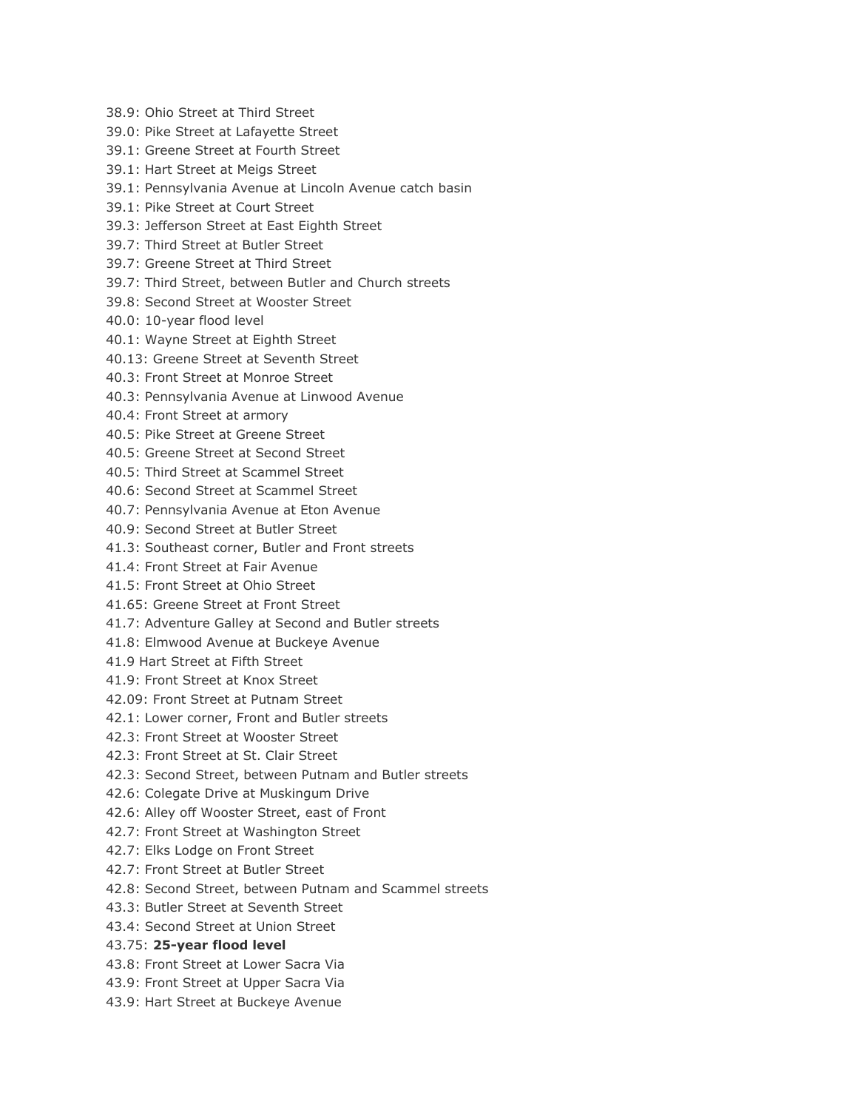- 38.9: Ohio Street at Third Street
- 39.0: Pike Street at Lafayette Street
- 39.1: Greene Street at Fourth Street
- 39.1: Hart Street at Meigs Street
- 39.1: Pennsylvania Avenue at Lincoln Avenue catch basin
- 39.1: Pike Street at Court Street
- 39.3: Jefferson Street at East Eighth Street
- 39.7: Third Street at Butler Street
- 39.7: Greene Street at Third Street
- 39.7: Third Street, between Butler and Church streets
- 39.8: Second Street at Wooster Street
- 40.0: 10-year flood level
- 40.1: Wayne Street at Eighth Street
- 40.13: Greene Street at Seventh Street
- 40.3: Front Street at Monroe Street
- 40.3: Pennsylvania Avenue at Linwood Avenue
- 40.4: Front Street at armory
- 40.5: Pike Street at Greene Street
- 40.5: Greene Street at Second Street
- 40.5: Third Street at Scammel Street
- 40.6: Second Street at Scammel Street
- 40.7: Pennsylvania Avenue at Eton Avenue
- 40.9: Second Street at Butler Street
- 41.3: Southeast corner, Butler and Front streets
- 41.4: Front Street at Fair Avenue
- 41.5: Front Street at Ohio Street
- 41.65: Greene Street at Front Street
- 41.7: Adventure Galley at Second and Butler streets
- 41.8: Elmwood Avenue at Buckeye Avenue
- 41.9 Hart Street at Fifth Street
- 41.9: Front Street at Knox Street
- 42.09: Front Street at Putnam Street
- 42.1: Lower corner, Front and Butler streets
- 42.3: Front Street at Wooster Street
- 42.3: Front Street at St. Clair Street
- 42.3: Second Street, between Putnam and Butler streets
- 42.6: Colegate Drive at Muskingum Drive
- 42.6: Alley off Wooster Street, east of Front
- 42.7: Front Street at Washington Street
- 42.7: Elks Lodge on Front Street
- 42.7: Front Street at Butler Street
- 42.8: Second Street, between Putnam and Scammel streets
- 43.3: Butler Street at Seventh Street
- 43.4: Second Street at Union Street

#### 43.75: **25-year flood level**

- 43.8: Front Street at Lower Sacra Via
- 43.9: Front Street at Upper Sacra Via
- 43.9: Hart Street at Buckeye Avenue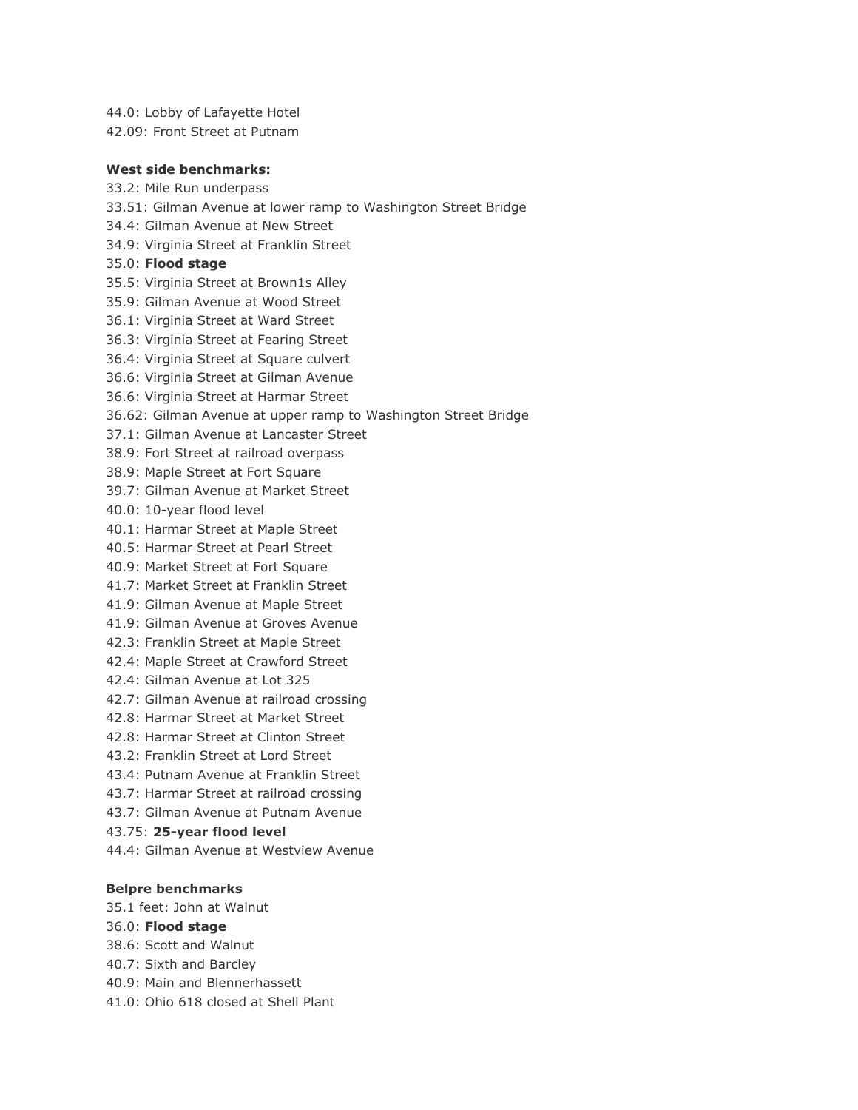44.0: Lobby of Lafayette Hotel

42.09: Front Street at Putnam

#### **West side benchmarks:**

33.2: Mile Run underpass 33.51: Gilman Avenue at lower ramp to Washington Street Bridge 34.4: Gilman Avenue at New Street 34.9: Virginia Street at Franklin Street 35.0: **Flood stage** 35.5: Virginia Street at Brown1s Alley 35.9: Gilman Avenue at Wood Street 36.1: Virginia Street at Ward Street 36.3: Virginia Street at Fearing Street 36.4: Virginia Street at Square culvert 36.6: Virginia Street at Gilman Avenue 36.6: Virginia Street at Harmar Street 36.62: Gilman Avenue at upper ramp to Washington Street Bridge 37.1: Gilman Avenue at Lancaster Street 38.9: Fort Street at railroad overpass 38.9: Maple Street at Fort Square 39.7: Gilman Avenue at Market Street 40.0: 10-year flood level 40.1: Harmar Street at Maple Street 40.5: Harmar Street at Pearl Street 40.9: Market Street at Fort Square 41.7: Market Street at Franklin Street 41.9: Gilman Avenue at Maple Street 41.9: Gilman Avenue at Groves Avenue 42.3: Franklin Street at Maple Street 42.4: Maple Street at Crawford Street 42.4: Gilman Avenue at Lot 325 42.7: Gilman Avenue at railroad crossing 42.8: Harmar Street at Market Street 42.8: Harmar Street at Clinton Street 43.2: Franklin Street at Lord Street 43.4: Putnam Avenue at Franklin Street 43.7: Harmar Street at railroad crossing 43.7: Gilman Avenue at Putnam Avenue 43.75: **25-year flood level** 44.4: Gilman Avenue at Westview Avenue **Belpre benchmarks** 35.1 feet: John at Walnut

- 36.0: **Flood stage**
- 38.6: Scott and Walnut
- 40.7: Sixth and Barcley
- 40.9: Main and Blennerhassett
- 41.0: Ohio 618 closed at Shell Plant